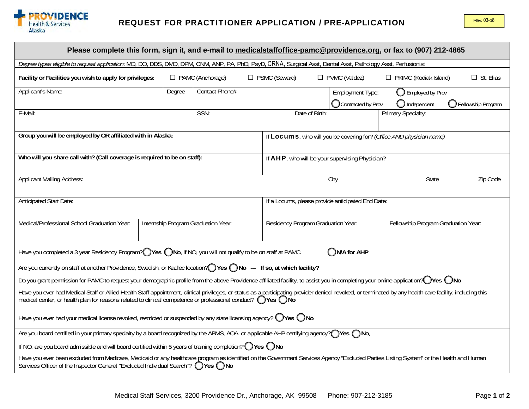

| Please complete this form, sign it, and e-mail to medicalstaffoffice-pamc@providence.org, or fax to (907) 212-4865                                                                                                                                                                                                       |                                                                      |                                     |                                    |                                                   |                                               |                                                       |                             |  |  |  |  |  |
|--------------------------------------------------------------------------------------------------------------------------------------------------------------------------------------------------------------------------------------------------------------------------------------------------------------------------|----------------------------------------------------------------------|-------------------------------------|------------------------------------|---------------------------------------------------|-----------------------------------------------|-------------------------------------------------------|-----------------------------|--|--|--|--|--|
| Degree types eligible to request application. MD, DO, DDS, DMD, DPM, CNM, ANP, PA, PhD, PsyD, CRNA, Surgical Asst, Dental Asst, Pathology Asst, Perfusionist                                                                                                                                                             |                                                                      |                                     |                                    |                                                   |                                               |                                                       |                             |  |  |  |  |  |
| Facility or Facilities you wish to apply for privileges:                                                                                                                                                                                                                                                                 | □ PSMC (Seward)<br>$\Box$ PAMC (Anchorage)                           |                                     |                                    |                                                   | $\Box$ PVMC (Valdez)                          | $\Box$ PKIMC (Kodiak Island)                          | $\Box$ St. Elias            |  |  |  |  |  |
| Applicant's Name:                                                                                                                                                                                                                                                                                                        | Degree                                                               | Contact Phone#                      |                                    |                                                   | <b>Employment Type:</b><br>Contracted by Prov | $\bigcirc$ Employed by Prov<br>$\bigcirc$ Independent | <b>O</b> Fellowship Program |  |  |  |  |  |
| E-Mail:                                                                                                                                                                                                                                                                                                                  |                                                                      | SSN:                                |                                    | Date of Birth:                                    |                                               | Primary Specialty:                                    |                             |  |  |  |  |  |
| Group you will be employed by OR affiliated with in Alaska:                                                                                                                                                                                                                                                              | If Locums, who will you be covering for? (Office AND physician name) |                                     |                                    |                                                   |                                               |                                                       |                             |  |  |  |  |  |
| Who will you share call with? (Call coverage is required to be on staff):                                                                                                                                                                                                                                                |                                                                      |                                     |                                    | If AHP, who will be your supervising Physician?   |                                               |                                                       |                             |  |  |  |  |  |
| <b>Applicant Mailing Address:</b>                                                                                                                                                                                                                                                                                        | City                                                                 |                                     |                                    | <b>State</b>                                      | Zip Code                                      |                                                       |                             |  |  |  |  |  |
| Anticipated Start Date:                                                                                                                                                                                                                                                                                                  |                                                                      |                                     |                                    | If a Locums, please provide anticipated End Date: |                                               |                                                       |                             |  |  |  |  |  |
| Medical/Professional School Graduation Year:                                                                                                                                                                                                                                                                             |                                                                      | Internship Program Graduation Year: | Residency Program Graduation Year: |                                                   |                                               | Fellowship Program Graduation Year:                   |                             |  |  |  |  |  |
| Have you completed a 3 year Residency Program? Ves ONo, if NO, you will not qualify to be on staff at PAMC.<br>ON/A for AHP                                                                                                                                                                                              |                                                                      |                                     |                                    |                                                   |                                               |                                                       |                             |  |  |  |  |  |
| Are you currently on staff at another Providence, Swedish, or Kadlec location? (Stes ONo --- If so, at which facility?                                                                                                                                                                                                   |                                                                      |                                     |                                    |                                                   |                                               |                                                       |                             |  |  |  |  |  |
| Do you grant permission for PAMC to request your demographic profile from the above Providence affiliated facility, to assist you in completing your online application? OVes ONo                                                                                                                                        |                                                                      |                                     |                                    |                                                   |                                               |                                                       |                             |  |  |  |  |  |
| Have you ever had Medical Staff or Allied Health Staff appointment, clinical privileges, or status as a participating provider denied, revoked, or terminated by any health care facility, including this<br>medical center, or health plan for reasons related to clinical competence or professional conduct? OYes ONo |                                                                      |                                     |                                    |                                                   |                                               |                                                       |                             |  |  |  |  |  |
| Have you ever had your medical license revoked, restricted or suspended by any state licensing agency? $\bigcirc$ Yes $\bigcirc$ No                                                                                                                                                                                      |                                                                      |                                     |                                    |                                                   |                                               |                                                       |                             |  |  |  |  |  |
| Are you board certified in your primary specialty by a board recognized by the ABMS, AOA, or applicable AHP certifying agency? (Yes $\bigcap$ No,                                                                                                                                                                        |                                                                      |                                     |                                    |                                                   |                                               |                                                       |                             |  |  |  |  |  |
| If NO, are you board admissible and will board certified within 5 years of training completion? $\bigcirc$ Yes $\bigcirc$ No                                                                                                                                                                                             |                                                                      |                                     |                                    |                                                   |                                               |                                                       |                             |  |  |  |  |  |
| Have you ever been excluded from Medicare, Medicaid or any healthcare program as identified on the Government Services Agency "Excluded Parties Listing System" or the Health and Human<br>Services Officer of the Inspector General "Excluded Individual Search"? ○Yes ○No                                              |                                                                      |                                     |                                    |                                                   |                                               |                                                       |                             |  |  |  |  |  |